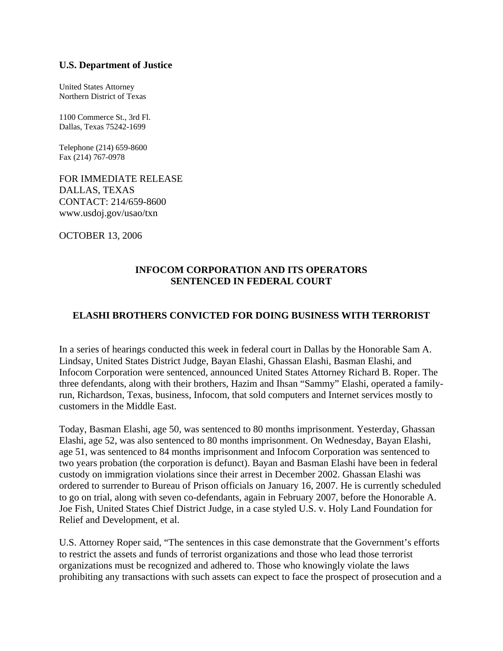## **U.S. Department of Justice**

United States Attorney Northern District of Texas

1100 Commerce St., 3rd Fl. Dallas, Texas 75242-1699

Telephone (214) 659-8600 Fax (214) 767-0978

FOR IMMEDIATE RELEASE DALLAS, TEXAS CONTACT: 214/659-8600 www.usdoj.gov/usao/txn

OCTOBER 13, 2006

## **INFOCOM CORPORATION AND ITS OPERATORS SENTENCED IN FEDERAL COURT**

## **ELASHI BROTHERS CONVICTED FOR DOING BUSINESS WITH TERRORIST**

In a series of hearings conducted this week in federal court in Dallas by the Honorable Sam A. Lindsay, United States District Judge, Bayan Elashi, Ghassan Elashi, Basman Elashi, and Infocom Corporation were sentenced, announced United States Attorney Richard B. Roper. The three defendants, along with their brothers, Hazim and Ihsan "Sammy" Elashi, operated a familyrun, Richardson, Texas, business, Infocom, that sold computers and Internet services mostly to customers in the Middle East.

Today, Basman Elashi, age 50, was sentenced to 80 months imprisonment. Yesterday, Ghassan Elashi, age 52, was also sentenced to 80 months imprisonment. On Wednesday, Bayan Elashi, age 51, was sentenced to 84 months imprisonment and Infocom Corporation was sentenced to two years probation (the corporation is defunct). Bayan and Basman Elashi have been in federal custody on immigration violations since their arrest in December 2002. Ghassan Elashi was ordered to surrender to Bureau of Prison officials on January 16, 2007. He is currently scheduled to go on trial, along with seven co-defendants, again in February 2007, before the Honorable A. Joe Fish, United States Chief District Judge, in a case styled U.S. v. Holy Land Foundation for Relief and Development, et al.

U.S. Attorney Roper said, "The sentences in this case demonstrate that the Government's efforts to restrict the assets and funds of terrorist organizations and those who lead those terrorist organizations must be recognized and adhered to. Those who knowingly violate the laws prohibiting any transactions with such assets can expect to face the prospect of prosecution and a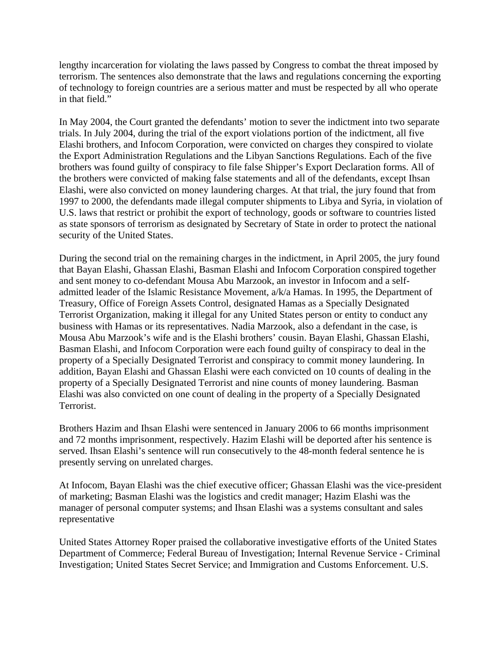lengthy incarceration for violating the laws passed by Congress to combat the threat imposed by terrorism. The sentences also demonstrate that the laws and regulations concerning the exporting of technology to foreign countries are a serious matter and must be respected by all who operate in that field."

In May 2004, the Court granted the defendants' motion to sever the indictment into two separate trials. In July 2004, during the trial of the export violations portion of the indictment, all five Elashi brothers, and Infocom Corporation, were convicted on charges they conspired to violate the Export Administration Regulations and the Libyan Sanctions Regulations. Each of the five brothers was found guilty of conspiracy to file false Shipper's Export Declaration forms. All of the brothers were convicted of making false statements and all of the defendants, except Ihsan Elashi, were also convicted on money laundering charges. At that trial, the jury found that from 1997 to 2000, the defendants made illegal computer shipments to Libya and Syria, in violation of U.S. laws that restrict or prohibit the export of technology, goods or software to countries listed as state sponsors of terrorism as designated by Secretary of State in order to protect the national security of the United States.

During the second trial on the remaining charges in the indictment, in April 2005, the jury found that Bayan Elashi, Ghassan Elashi, Basman Elashi and Infocom Corporation conspired together and sent money to co-defendant Mousa Abu Marzook, an investor in Infocom and a selfadmitted leader of the Islamic Resistance Movement, a/k/a Hamas. In 1995, the Department of Treasury, Office of Foreign Assets Control, designated Hamas as a Specially Designated Terrorist Organization, making it illegal for any United States person or entity to conduct any business with Hamas or its representatives. Nadia Marzook, also a defendant in the case, is Mousa Abu Marzook's wife and is the Elashi brothers' cousin. Bayan Elashi, Ghassan Elashi, Basman Elashi, and Infocom Corporation were each found guilty of conspiracy to deal in the property of a Specially Designated Terrorist and conspiracy to commit money laundering. In addition, Bayan Elashi and Ghassan Elashi were each convicted on 10 counts of dealing in the property of a Specially Designated Terrorist and nine counts of money laundering. Basman Elashi was also convicted on one count of dealing in the property of a Specially Designated Terrorist.

Brothers Hazim and Ihsan Elashi were sentenced in January 2006 to 66 months imprisonment and 72 months imprisonment, respectively. Hazim Elashi will be deported after his sentence is served. Ihsan Elashi's sentence will run consecutively to the 48-month federal sentence he is presently serving on unrelated charges.

At Infocom, Bayan Elashi was the chief executive officer; Ghassan Elashi was the vice-president of marketing; Basman Elashi was the logistics and credit manager; Hazim Elashi was the manager of personal computer systems; and Ihsan Elashi was a systems consultant and sales representative

United States Attorney Roper praised the collaborative investigative efforts of the United States Department of Commerce; Federal Bureau of Investigation; Internal Revenue Service - Criminal Investigation; United States Secret Service; and Immigration and Customs Enforcement. U.S.